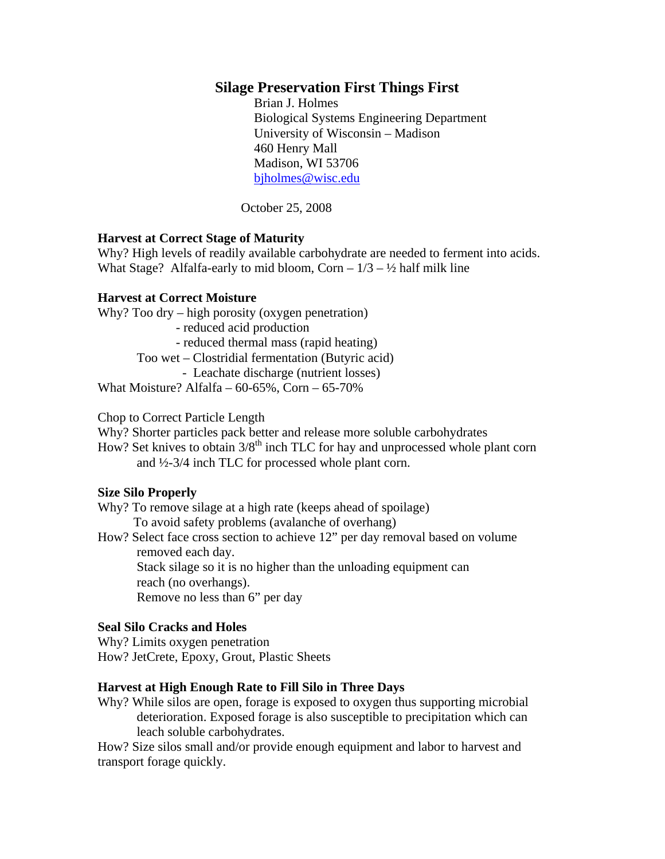# **Silage Preservation First Things First**

 Brian J. Holmes Biological Systems Engineering Department University of Wisconsin – Madison 460 Henry Mall Madison, WI 53706 bjholmes@wisc.edu

October 25, 2008

### **Harvest at Correct Stage of Maturity**

Why? High levels of readily available carbohydrate are needed to ferment into acids. What Stage? Alfalfa-early to mid bloom, Corn  $-1/3 - \frac{1}{2}$  half milk line

#### **Harvest at Correct Moisture**

Why? Too dry – high porosity (oxygen penetration) - reduced acid production - reduced thermal mass (rapid heating) Too wet – Clostridial fermentation (Butyric acid) - Leachate discharge (nutrient losses) What Moisture? Alfalfa –  $60-65\%$ , Corn –  $65-70\%$ 

Chop to Correct Particle Length

Why? Shorter particles pack better and release more soluble carbohydrates

How? Set knives to obtain  $3/8<sup>th</sup>$  inch TLC for hay and unprocessed whole plant corn and ½-3/4 inch TLC for processed whole plant corn.

#### **Size Silo Properly**

Why? To remove silage at a high rate (keeps ahead of spoilage) To avoid safety problems (avalanche of overhang)

How? Select face cross section to achieve 12" per day removal based on volume removed each day. Stack silage so it is no higher than the unloading equipment can reach (no overhangs).

Remove no less than 6" per day

#### **Seal Silo Cracks and Holes**

Why? Limits oxygen penetration How? JetCrete, Epoxy, Grout, Plastic Sheets

#### **Harvest at High Enough Rate to Fill Silo in Three Days**

Why? While silos are open, forage is exposed to oxygen thus supporting microbial deterioration. Exposed forage is also susceptible to precipitation which can leach soluble carbohydrates.

How? Size silos small and/or provide enough equipment and labor to harvest and transport forage quickly.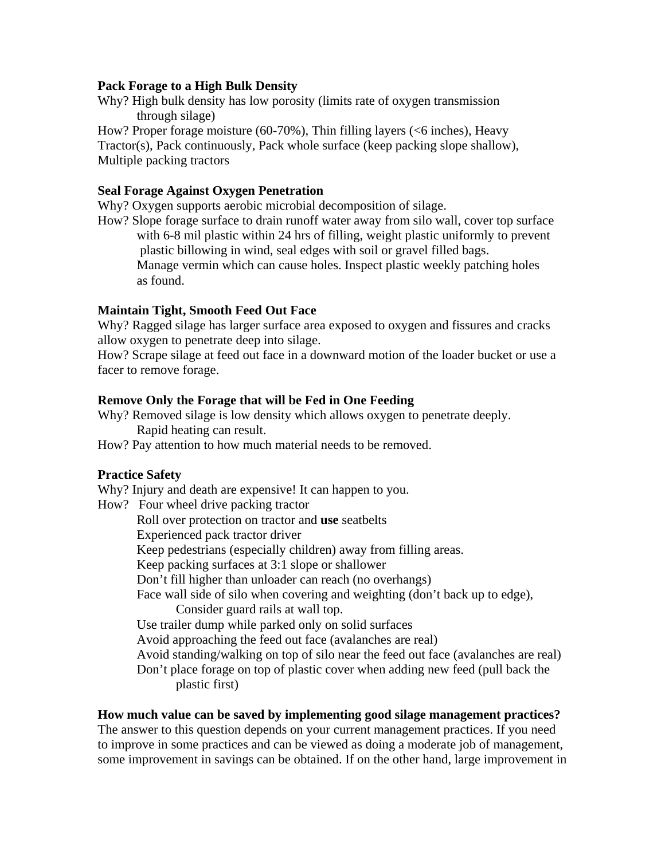### **Pack Forage to a High Bulk Density**

Why? High bulk density has low porosity (limits rate of oxygen transmission through silage)

How? Proper forage moisture (60-70%), Thin filling layers (<6 inches), Heavy Tractor(s), Pack continuously, Pack whole surface (keep packing slope shallow), Multiple packing tractors

### **Seal Forage Against Oxygen Penetration**

Why? Oxygen supports aerobic microbial decomposition of silage.

How? Slope forage surface to drain runoff water away from silo wall, cover top surface with 6-8 mil plastic within 24 hrs of filling, weight plastic uniformly to prevent plastic billowing in wind, seal edges with soil or gravel filled bags. Manage vermin which can cause holes. Inspect plastic weekly patching holes as found.

## **Maintain Tight, Smooth Feed Out Face**

Why? Ragged silage has larger surface area exposed to oxygen and fissures and cracks allow oxygen to penetrate deep into silage.

How? Scrape silage at feed out face in a downward motion of the loader bucket or use a facer to remove forage.

### **Remove Only the Forage that will be Fed in One Feeding**

Why? Removed silage is low density which allows oxygen to penetrate deeply. Rapid heating can result.

How? Pay attention to how much material needs to be removed.

## **Practice Safety**

Why? Injury and death are expensive! It can happen to you. How? Four wheel drive packing tractor Roll over protection on tractor and **use** seatbelts Experienced pack tractor driver Keep pedestrians (especially children) away from filling areas. Keep packing surfaces at 3:1 slope or shallower Don't fill higher than unloader can reach (no overhangs) Face wall side of silo when covering and weighting (don't back up to edge), Consider guard rails at wall top. Use trailer dump while parked only on solid surfaces Avoid approaching the feed out face (avalanches are real) Avoid standing/walking on top of silo near the feed out face (avalanches are real) Don't place forage on top of plastic cover when adding new feed (pull back the plastic first)

# **How much value can be saved by implementing good silage management practices?**

The answer to this question depends on your current management practices. If you need to improve in some practices and can be viewed as doing a moderate job of management, some improvement in savings can be obtained. If on the other hand, large improvement in